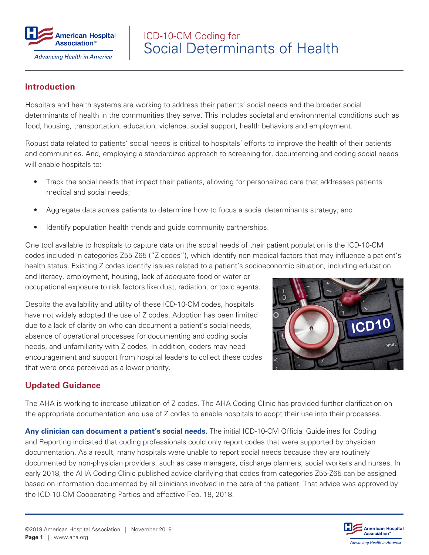

# Social Determinants of Health ICD-10-CM Coding for

#### **Introduction**

Hospitals and health systems are working to address their patients' social needs and the broader social determinants of health in the communities they serve. This includes societal and environmental conditions such as food, housing, transportation, education, violence, social support, health behaviors and employment.

Robust data related to patients' social needs is critical to hospitals' efforts to improve the health of their patients and communities. And, employing a standardized approach to screening for, documenting and coding social needs will enable hospitals to:

- Track the social needs that impact their patients, allowing for personalized care that addresses patients medical and social needs;
- Aggregate data across patients to determine how to focus a social determinants strategy; and
- Identify population health trends and guide community partnerships.

One tool available to hospitals to capture data on the social needs of their patient population is the ICD-10-CM codes included in categories Z55-Z65 ("Z codes"), which identify non-medical factors that may influence a patient's health status. Existing Z codes identify issues related to a patient's socioeconomic situation, including education

and literacy, employment, housing, lack of adequate food or water or occupational exposure to risk factors like dust, radiation, or toxic agents.

Despite the availability and utility of these ICD-10-CM codes, hospitals have not widely adopted the use of Z codes. Adoption has been limited due to a lack of clarity on who can document a patient's social needs, absence of operational processes for documenting and coding social needs, and unfamiliarity with Z codes. In addition, coders may need encouragement and support from hospital leaders to collect these codes that were once perceived as a lower priority.



### **Updated Guidance**

The AHA is working to increase utilization of Z codes. The AHA Coding Clinic has provided further clarification on the appropriate documentation and use of Z codes to enable hospitals to adopt their use into their processes.

**Any clinician can document a patient's social needs.** The initial ICD-10-CM Official Guidelines for Coding and Reporting indicated that coding professionals could only report codes that were supported by physician documentation. As a result, many hospitals were unable to report social needs because they are routinely documented by non-physician providers, such as case managers, discharge planners, social workers and nurses. In early 2018, the AHA Coding Clinic published advice clarifying that codes from categories Z55-Z65 can be assigned based on information documented by all clinicians involved in the care of the patient. That advice was approved by the ICD-10-CM Cooperating Parties and effective Feb. 18, 2018.

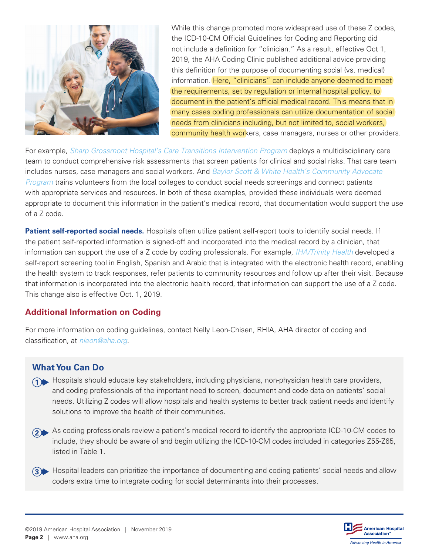

While this change promoted more widespread use of these Z codes, the ICD-10-CM Official Guidelines for Coding and Reporting did not include a definition for "clinician." As a result, effective Oct 1, 2019, the AHA Coding Clinic published additional advice providing this definition for the purpose of documenting social (vs. medical) information. Here, "clinicians" can include anyone deemed to meet the requirements, set by regulation or internal hospital policy, to document in the patient's official medical record. This means that in many cases coding professionals can utilize documentation of social needs from clinicians including, but not limited to, social workers, community health workers, case managers, nurses or other providers.

For example, *[Sharp Grossmont Hospital's Care Transitions Intervention Program](https://www.aha.org/case-studies/2017-12-01-value-initiative-aha-members-action-sharp-grossmont-hospital)* deploys a multidisciplinary care team to conduct comprehensive risk assessments that screen patients for clinical and social risks. That care team includes nurses, case managers and social workers. And *[Baylor Scott & White Health's Community Advocate](https://www.aha.org/case-studies/2019-08-05-value-initiative-members-action-baylor-scott-white-health-dallas-texas)  [Program](https://www.aha.org/case-studies/2019-08-05-value-initiative-members-action-baylor-scott-white-health-dallas-texas)* trains volunteers from the local colleges to conduct social needs screenings and connect patients with appropriate services and resources. In both of these examples, provided these individuals were deemed appropriate to document this information in the patient's medical record, that documentation would support the use of a Z code.

**Patient self-reported social needs.** Hospitals often utilize patient self-report tools to identify social needs. If the patient self-reported information is signed-off and incorporated into the medical record by a clinician, that information can support the use of a Z code by coding professionals. For example, *[IHA/Trinity Health](https://www.aha.org/case-studies/2019-08-05-value-initiative-members-action-integrated-healthcare-associates-trinity)* developed a self-report screening tool in English, Spanish and Arabic that is integrated with the electronic health record, enabling the health system to track responses, refer patients to community resources and follow up after their visit. Because that information is incorporated into the electronic health record, that information can support the use of a Z code. This change also is effective Oct. 1, 2019.

#### **Additional Information on Coding**

For more information on coding guidelines, contact Nelly Leon-Chisen, RHIA, AHA director of coding and classification, at *[nleon@aha.org](mailto:nleon@aha.org)*.

### **What You Can Do**

- **1** Hospitals should educate key stakeholders, including physicians, non-physician health care providers, and coding professionals of the important need to screen, document and code data on patients' social needs. Utilizing Z codes will allow hospitals and health systems to better track patient needs and identify solutions to improve the health of their communities.
- As coding professionals review a patient's medical record to identify the appropriate ICD-10-CM codes to **2** include, they should be aware of and begin utilizing the ICD-10-CM codes included in categories Z55-Z65, listed in Table 1.
- Hospital leaders can prioritize the importance of documenting and coding patients' social needs and allow **3**coders extra time to integrate coding for social determinants into their processes.

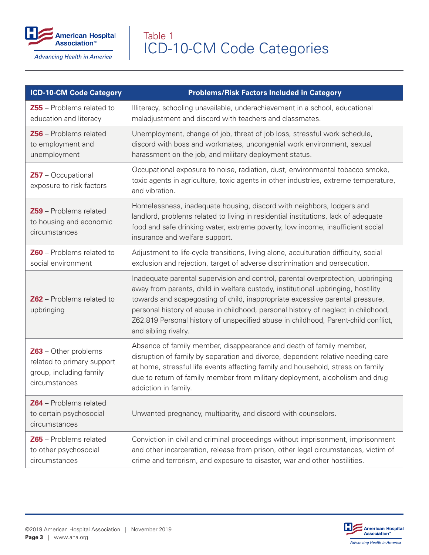

Advancing Health in America

# ICD-10-CM Code Categories Table 1

| <b>ICD-10-CM Code Category</b>                                                                   | <b>Problems/Risk Factors Included in Category</b>                                                                                                                                                                                                                                                                                                                                                                                                        |
|--------------------------------------------------------------------------------------------------|----------------------------------------------------------------------------------------------------------------------------------------------------------------------------------------------------------------------------------------------------------------------------------------------------------------------------------------------------------------------------------------------------------------------------------------------------------|
| Z55 - Problems related to<br>education and literacy                                              | Illiteracy, schooling unavailable, underachievement in a school, educational<br>maladjustment and discord with teachers and classmates.                                                                                                                                                                                                                                                                                                                  |
| Z56 - Problems related<br>to employment and<br>unemployment                                      | Unemployment, change of job, threat of job loss, stressful work schedule,<br>discord with boss and workmates, uncongenial work environment, sexual<br>harassment on the job, and military deployment status.                                                                                                                                                                                                                                             |
| $Z57 - Occupational$<br>exposure to risk factors                                                 | Occupational exposure to noise, radiation, dust, environmental tobacco smoke,<br>toxic agents in agriculture, toxic agents in other industries, extreme temperature,<br>and vibration.                                                                                                                                                                                                                                                                   |
| <b>Z59</b> - Problems related<br>to housing and economic<br>circumstances                        | Homelessness, inadequate housing, discord with neighbors, lodgers and<br>landlord, problems related to living in residential institutions, lack of adequate<br>food and safe drinking water, extreme poverty, low income, insufficient social<br>insurance and welfare support.                                                                                                                                                                          |
| <b>Z60</b> – Problems related to<br>social environment                                           | Adjustment to life-cycle transitions, living alone, acculturation difficulty, social<br>exclusion and rejection, target of adverse discrimination and persecution.                                                                                                                                                                                                                                                                                       |
| $Z62$ – Problems related to<br>upbringing                                                        | Inadequate parental supervision and control, parental overprotection, upbringing<br>away from parents, child in welfare custody, institutional upbringing, hostility<br>towards and scapegoating of child, inappropriate excessive parental pressure,<br>personal history of abuse in childhood, personal history of neglect in childhood,<br>Z62.819 Personal history of unspecified abuse in childhood, Parent-child conflict,<br>and sibling rivalry. |
| $Z63$ – Other problems<br>related to primary support<br>group, including family<br>circumstances | Absence of family member, disappearance and death of family member,<br>disruption of family by separation and divorce, dependent relative needing care<br>at home, stressful life events affecting family and household, stress on family<br>due to return of family member from military deployment, alcoholism and drug<br>addiction in family.                                                                                                        |
| Z64 - Problems related<br>to certain psychosocial<br>circumstances                               | Unwanted pregnancy, multiparity, and discord with counselors.                                                                                                                                                                                                                                                                                                                                                                                            |
| Z65 - Problems related<br>to other psychosocial<br>circumstances                                 | Conviction in civil and criminal proceedings without imprisonment, imprisonment<br>and other incarceration, release from prison, other legal circumstances, victim of<br>crime and terrorism, and exposure to disaster, war and other hostilities.                                                                                                                                                                                                       |